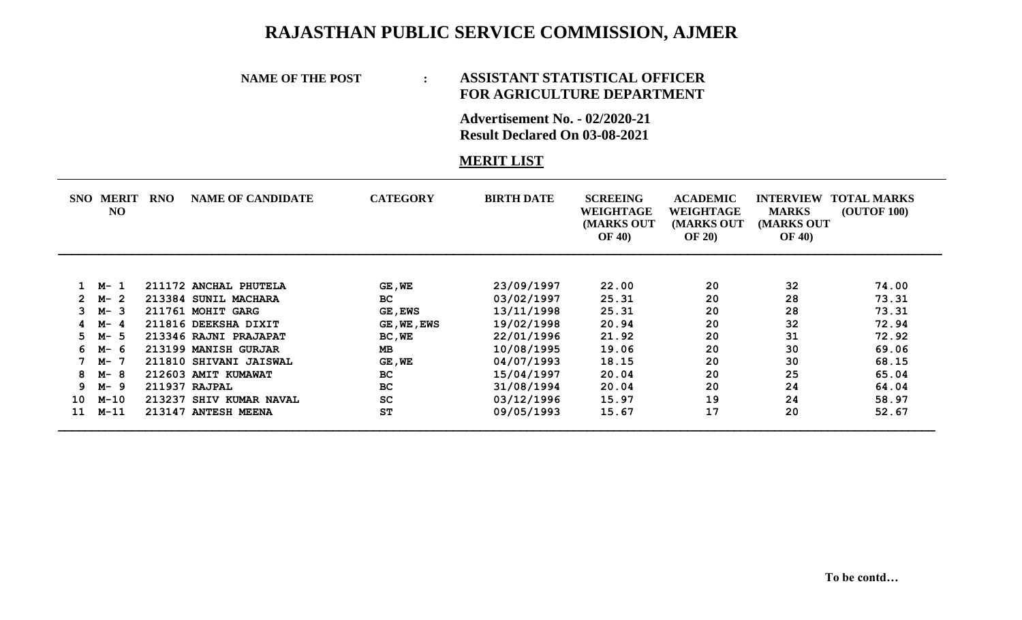## **RAJASTHAN PUBLIC SERVICE COMMISSION, AJMER**

## **NAME OF THE POST : ASSISTANT STATISTICAL OFFICER FOR AGRICULTURE DEPARTMENT**

**Advertisement No. - 02/2020-21 Result Declared On 03-08-2021**

## **MERIT LIST**

| SNO- | <b>MERIT</b><br>N <sub>O</sub> | <b>RNO</b> | <b>NAME OF CANDIDATE</b> | <b>CATEGORY</b> | <b>BIRTH DATE</b> | <b>SCREEING</b><br>WEIGHTAGE<br>(MARKS OUT<br><b>OF 40)</b> | <b>ACADEMIC</b><br>WEIGHTAGE<br>(MARKS OUT<br><b>OF 20)</b> | <b>INTERVIEW</b><br><b>MARKS</b><br>(MARKS OUT<br><b>OF 40)</b> | <b>TOTAL MARKS</b><br><b>(OUTOF 100)</b> |
|------|--------------------------------|------------|--------------------------|-----------------|-------------------|-------------------------------------------------------------|-------------------------------------------------------------|-----------------------------------------------------------------|------------------------------------------|
|      |                                |            |                          |                 |                   |                                                             |                                                             |                                                                 |                                          |
|      | $1 \, M-1$                     |            | 211172 ANCHAL PHUTELA    | GE, WE          | 23/09/1997        | 22.00                                                       | 20                                                          | 32                                                              | 74.00                                    |
|      | $2 M - 2$                      |            | 213384 SUNIL MACHARA     | BC.             | 03/02/1997        | 25.31                                                       | 20                                                          | 28                                                              | 73.31                                    |
| 3    | M-3                            |            | 211761 MOHIT GARG        | <b>GE, EWS</b>  | 13/11/1998        | 25.31                                                       | 20                                                          | 28                                                              | 73.31                                    |
| 4    | M-4                            |            | 211816 DEEKSHA DIXIT     | GE, WE, EWS     | 19/02/1998        | 20.94                                                       | 20                                                          | 32                                                              | 72.94                                    |
| 5.   | M-5                            |            | 213346 RAJNI PRAJAPAT    | BC, WE          | 22/01/1996        | 21.92                                                       | 20                                                          | 31                                                              | 72.92                                    |
| 6.   | М- 6                           |            | 213199 MANISH GURJAR     | <b>MB</b>       | 10/08/1995        | 19.06                                                       | 20                                                          | 30                                                              | 69.06                                    |
|      | M- 7                           |            | 211810 SHIVANI JAISWAL   | $GE$ , $WE$     | 04/07/1993        | 18.15                                                       | 20                                                          | 30                                                              | 68.15                                    |
| 8    | M-8                            |            | 212603 AMIT KUMAWAT      | <b>BC</b>       | 15/04/1997        | 20.04                                                       | 20                                                          | 25                                                              | 65.04                                    |
| 9.   | M-9                            |            | 211937 RAJPAL            | <b>BC</b>       | 31/08/1994        | 20.04                                                       | 20                                                          | 24                                                              | 64.04                                    |
| 10   | M-10                           |            | 213237 SHIV KUMAR NAVAL  | SC              | 03/12/1996        | 15.97                                                       | 19                                                          | 24                                                              | 58.97                                    |
| 11   | $M-11$                         |            | 213147 ANTESH MEENA      | ST              | 09/05/1993        | 15.67                                                       | 17                                                          | 20                                                              | 52.67                                    |
|      |                                |            |                          |                 |                   |                                                             |                                                             |                                                                 |                                          |